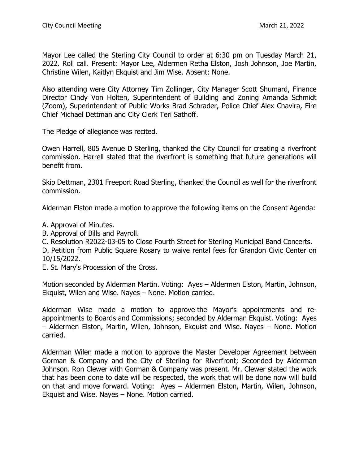Mayor Lee called the Sterling City Council to order at 6:30 pm on Tuesday March 21, 2022. Roll call. Present: Mayor Lee, Aldermen Retha Elston, Josh Johnson, Joe Martin, Christine Wilen, Kaitlyn Ekquist and Jim Wise. Absent: None.

Also attending were City Attorney Tim Zollinger, City Manager Scott Shumard, Finance Director Cindy Von Holten, Superintendent of Building and Zoning Amanda Schmidt (Zoom), Superintendent of Public Works Brad Schrader, Police Chief Alex Chavira, Fire Chief Michael Dettman and City Clerk Teri Sathoff.

The Pledge of allegiance was recited.

Owen Harrell, 805 Avenue D Sterling, thanked the City Council for creating a riverfront commission. Harrell stated that the riverfront is something that future generations will benefit from.

Skip Dettman, 2301 Freeport Road Sterling, thanked the Council as well for the riverfront commission.

Alderman Elston made a motion to approve the following items on the Consent Agenda:

- A. Approval of Minutes.
- B. Approval of Bills and Payroll.
- C. Resolution R2022-03-05 to Close Fourth Street for Sterling Municipal Band Concerts.

D. Petition from Public Square Rosary to waive rental fees for Grandon Civic Center on 10/15/2022.

E. St. Mary's Procession of the Cross.

Motion seconded by Alderman Martin. Voting: Ayes – Aldermen Elston, Martin, Johnson, Ekquist, Wilen and Wise. Nayes – None. Motion carried.

Alderman Wise made a motion to approve the Mayor's appointments and reappointments to Boards and Commissions; seconded by Alderman Ekquist. Voting: Ayes – Aldermen Elston, Martin, Wilen, Johnson, Ekquist and Wise. Nayes – None. Motion carried.

Alderman Wilen made a motion to approve the Master Developer Agreement between Gorman & Company and the City of Sterling for Riverfront; Seconded by Alderman Johnson. Ron Clewer with Gorman & Company was present. Mr. Clewer stated the work that has been done to date will be respected, the work that will be done now will build on that and move forward. Voting: Ayes – Aldermen Elston, Martin, Wilen, Johnson, Ekquist and Wise. Nayes – None. Motion carried.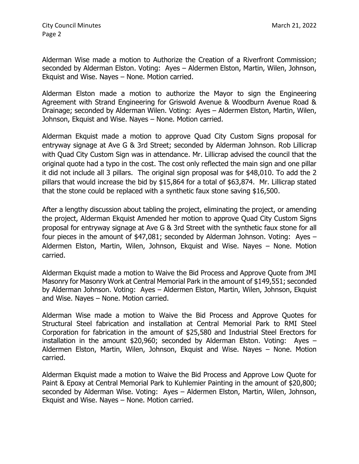Alderman Wise made a motion to Authorize the Creation of a Riverfront Commission; seconded by Alderman Elston. Voting: Ayes – Aldermen Elston, Martin, Wilen, Johnson, Ekquist and Wise. Nayes – None. Motion carried.

Alderman Elston made a motion to authorize the Mayor to sign the Engineering Agreement with Strand Engineering for Griswold Avenue & Woodburn Avenue Road & Drainage; seconded by Alderman Wilen. Voting: Ayes – Aldermen Elston, Martin, Wilen, Johnson, Ekquist and Wise. Nayes – None. Motion carried.

Alderman Ekquist made a motion to approve Quad City Custom Signs proposal for entryway signage at Ave G & 3rd Street; seconded by Alderman Johnson. Rob Lillicrap with Quad City Custom Sign was in attendance. Mr. Lillicrap advised the council that the original quote had a typo in the cost. The cost only reflected the main sign and one pillar it did not include all 3 pillars. The original sign proposal was for \$48,010. To add the 2 pillars that would increase the bid by \$15,864 for a total of \$63,874. Mr. Lillicrap stated that the stone could be replaced with a synthetic faux stone saving \$16,500.

After a lengthy discussion about tabling the project, eliminating the project, or amending the project, Alderman Ekquist Amended her motion to approve Quad City Custom Signs proposal for entryway signage at Ave G & 3rd Street with the synthetic faux stone for all four pieces in the amount of \$47,081; seconded by Alderman Johnson. Voting: Ayes – Aldermen Elston, Martin, Wilen, Johnson, Ekquist and Wise. Nayes – None. Motion carried.

Alderman Ekquist made a motion to Waive the Bid Process and Approve Quote from JMI Masonry for Masonry Work at Central Memorial Park in the amount of \$149,551; seconded by Alderman Johnson. Voting: Ayes – Aldermen Elston, Martin, Wilen, Johnson, Ekquist and Wise. Nayes – None. Motion carried.

Alderman Wise made a motion to Waive the Bid Process and Approve Quotes for Structural Steel fabrication and installation at Central Memorial Park to RMI Steel Corporation for fabrication in the amount of \$25,580 and Industrial Steel Erectors for installation in the amount \$20,960; seconded by Alderman Elston. Voting: Ayes – Aldermen Elston, Martin, Wilen, Johnson, Ekquist and Wise. Nayes – None. Motion carried.

Alderman Ekquist made a motion to Waive the Bid Process and Approve Low Quote for Paint & Epoxy at Central Memorial Park to Kuhlemier Painting in the amount of \$20,800; seconded by Alderman Wise. Voting: Ayes – Aldermen Elston, Martin, Wilen, Johnson, Ekquist and Wise. Nayes – None. Motion carried.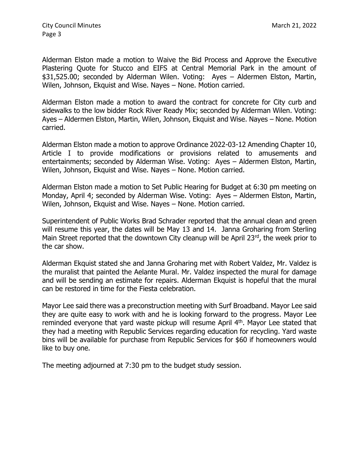Alderman Elston made a motion to Waive the Bid Process and Approve the Executive Plastering Quote for Stucco and EIFS at Central Memorial Park in the amount of \$31,525.00; seconded by Alderman Wilen. Voting: Ayes – Aldermen Elston, Martin, Wilen, Johnson, Ekquist and Wise. Nayes – None. Motion carried.

Alderman Elston made a motion to award the contract for concrete for City curb and sidewalks to the low bidder Rock River Ready Mix; seconded by Alderman Wilen. Voting: Ayes – Aldermen Elston, Martin, Wilen, Johnson, Ekquist and Wise. Nayes – None. Motion carried.

Alderman Elston made a motion to approve Ordinance 2022-03-12 Amending Chapter 10, Article I to provide modifications or provisions related to amusements and entertainments; seconded by Alderman Wise. Voting: Ayes – Aldermen Elston, Martin, Wilen, Johnson, Ekquist and Wise. Nayes – None. Motion carried.

Alderman Elston made a motion to Set Public Hearing for Budget at 6:30 pm meeting on Monday, April 4; seconded by Alderman Wise. Voting: Ayes – Aldermen Elston, Martin, Wilen, Johnson, Ekquist and Wise. Nayes – None. Motion carried.

Superintendent of Public Works Brad Schrader reported that the annual clean and green will resume this year, the dates will be May 13 and 14. Janna Groharing from Sterling Main Street reported that the downtown City cleanup will be April 23rd, the week prior to the car show.

Alderman Ekquist stated she and Janna Groharing met with Robert Valdez, Mr. Valdez is the muralist that painted the Aelante Mural. Mr. Valdez inspected the mural for damage and will be sending an estimate for repairs. Alderman Ekquist is hopeful that the mural can be restored in time for the Fiesta celebration.

Mayor Lee said there was a preconstruction meeting with Surf Broadband. Mayor Lee said they are quite easy to work with and he is looking forward to the progress. Mayor Lee reminded everyone that yard waste pickup will resume April 4<sup>th</sup>. Mayor Lee stated that they had a meeting with Republic Services regarding education for recycling. Yard waste bins will be available for purchase from Republic Services for \$60 if homeowners would like to buy one.

The meeting adjourned at 7:30 pm to the budget study session.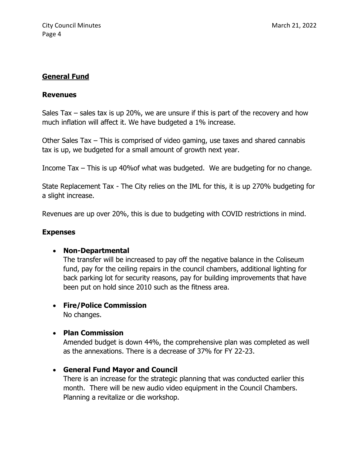### **General Fund**

#### **Revenues**

Sales Tax – sales tax is up 20%, we are unsure if this is part of the recovery and how much inflation will affect it. We have budgeted a 1% increase.

Other Sales Tax – This is comprised of video gaming, use taxes and shared cannabis tax is up, we budgeted for a small amount of growth next year.

Income Tax – This is up 40%of what was budgeted. We are budgeting for no change.

State Replacement Tax - The City relies on the IML for this, it is up 270% budgeting for a slight increase.

Revenues are up over 20%, this is due to budgeting with COVID restrictions in mind.

#### **Expenses**

#### • **Non-Departmental**

The transfer will be increased to pay off the negative balance in the Coliseum fund, pay for the ceiling repairs in the council chambers, additional lighting for back parking lot for security reasons, pay for building improvements that have been put on hold since 2010 such as the fitness area.

# • **Fire/Police Commission**

No changes.

#### • **Plan Commission**

Amended budget is down 44%, the comprehensive plan was completed as well as the annexations. There is a decrease of 37% for FY 22-23.

#### • **General Fund Mayor and Council**

There is an increase for the strategic planning that was conducted earlier this month. There will be new audio video equipment in the Council Chambers. Planning a revitalize or die workshop.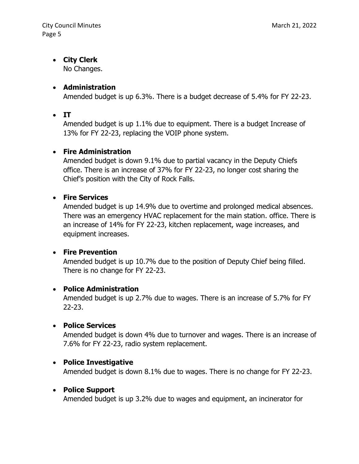# • **City Clerk**

No Changes.

### • **Administration**

Amended budget is up 6.3%. There is a budget decrease of 5.4% for FY 22-23.

• **IT**

Amended budget is up 1.1% due to equipment. There is a budget Increase of 13% for FY 22-23, replacing the VOIP phone system.

# • **Fire Administration**

Amended budget is down 9.1% due to partial vacancy in the Deputy Chiefs office. There is an increase of 37% for FY 22-23, no longer cost sharing the Chief's position with the City of Rock Falls.

# • **Fire Services**

Amended budget is up 14.9% due to overtime and prolonged medical absences. There was an emergency HVAC replacement for the main station. office. There is an increase of 14% for FY 22-23, kitchen replacement, wage increases, and equipment increases.

# • **Fire Prevention**

Amended budget is up 10.7% due to the position of Deputy Chief being filled. There is no change for FY 22-23.

# • **Police Administration**

Amended budget is up 2.7% due to wages. There is an increase of 5.7% for FY 22-23.

# • **Police Services**

Amended budget is down 4% due to turnover and wages. There is an increase of 7.6% for FY 22-23, radio system replacement.

# • **Police Investigative**

Amended budget is down 8.1% due to wages. There is no change for FY 22-23.

# • **Police Support**

Amended budget is up 3.2% due to wages and equipment, an incinerator for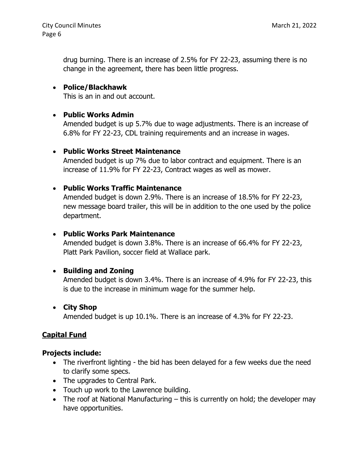drug burning. There is an increase of 2.5% for FY 22-23, assuming there is no change in the agreement, there has been little progress.

### • **Police/Blackhawk**

This is an in and out account.

### • **Public Works Admin**

Amended budget is up 5.7% due to wage adjustments. There is an increase of 6.8% for FY 22-23, CDL training requirements and an increase in wages.

### • **Public Works Street Maintenance**

Amended budget is up 7% due to labor contract and equipment. There is an increase of 11.9% for FY 22-23, Contract wages as well as mower.

### • **Public Works Traffic Maintenance**

Amended budget is down 2.9%. There is an increase of 18.5% for FY 22-23, new message board trailer, this will be in addition to the one used by the police department.

#### • **Public Works Park Maintenance**

Amended budget is down 3.8%. There is an increase of 66.4% for FY 22-23, Platt Park Pavilion, soccer field at Wallace park.

# • **Building and Zoning**

Amended budget is down 3.4%. There is an increase of 4.9% for FY 22-23, this is due to the increase in minimum wage for the summer help.

# • **City Shop**

Amended budget is up 10.1%. There is an increase of 4.3% for FY 22-23.

# **Capital Fund**

#### **Projects include:**

- The riverfront lighting the bid has been delayed for a few weeks due the need to clarify some specs.
- The upgrades to Central Park.
- Touch up work to the Lawrence building.
- The roof at National Manufacturing this is currently on hold; the developer may have opportunities.